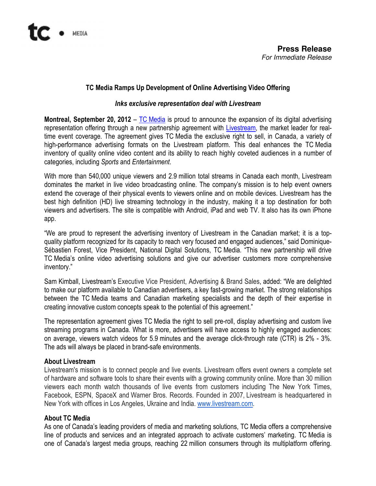## TC Media Ramps Up Development of Online Advertising Video Offering

#### Inks exclusive representation deal with Livestream

**Montreal, September 20, 2012** – TC Media is proud to announce the expansion of its digital advertising representation offering through a new partnership agreement with Livestream, the market leader for realtime event coverage. The agreement gives TC Media the exclusive right to sell, in Canada, a variety of high-performance advertising formats on the Livestream platform. This deal enhances the TC Media inventory of quality online video content and its ability to reach highly coveted audiences in a number of categories, including Sports and Entertainment.

With more than 540,000 unique viewers and 2.9 million total streams in Canada each month, Livestream dominates the market in live video broadcasting online. The company's mission is to help event owners extend the coverage of their physical events to viewers online and on mobile devices. Livestream has the best high definition (HD) live streaming technology in the industry, making it a top destination for both viewers and advertisers. The site is compatible with Android, iPad and web TV. It also has its own iPhone app.

"We are proud to represent the advertising inventory of Livestream in the Canadian market; it is a topquality platform recognized for its capacity to reach very focused and engaged audiences," said Dominique-Sébastien Forest, Vice President, National Digital Solutions, TC Media. "This new partnership will drive TC Media's online video advertising solutions and give our advertiser customers more comprehensive inventory."

Sam Kimball, Livestream's Executive Vice President, Advertising & Brand Sales, added: "We are delighted to make our platform available to Canadian advertisers, a key fast-growing market. The strong relationships between the TC Media teams and Canadian marketing specialists and the depth of their expertise in creating innovative custom concepts speak to the potential of this agreement."

The representation agreement gives TC Media the right to sell pre-roll, display advertising and custom live streaming programs in Canada. What is more, advertisers will have access to highly engaged audiences: on average, viewers watch videos for 5.9 minutes and the average click-through rate (CTR) is 2% - 3%. The ads will always be placed in brand-safe environments.

### About Livestream

Livestream's mission is to connect people and live events. Livestream offers event owners a complete set of hardware and software tools to share their events with a growing community online. More than 30 million viewers each month watch thousands of live events from customers including The New York Times, Facebook, ESPN, SpaceX and Warner Bros. Records. Founded in 2007, Livestream is headquartered in New York with offices in Los Angeles, Ukraine and India. www.livestream.com.

### About TC Media

As one of Canada's leading providers of media and marketing solutions, TC Media offers a comprehensive line of products and services and an integrated approach to activate customers' marketing. TC Media is one of Canada's largest media groups, reaching 22 million consumers through its multiplatform offering.